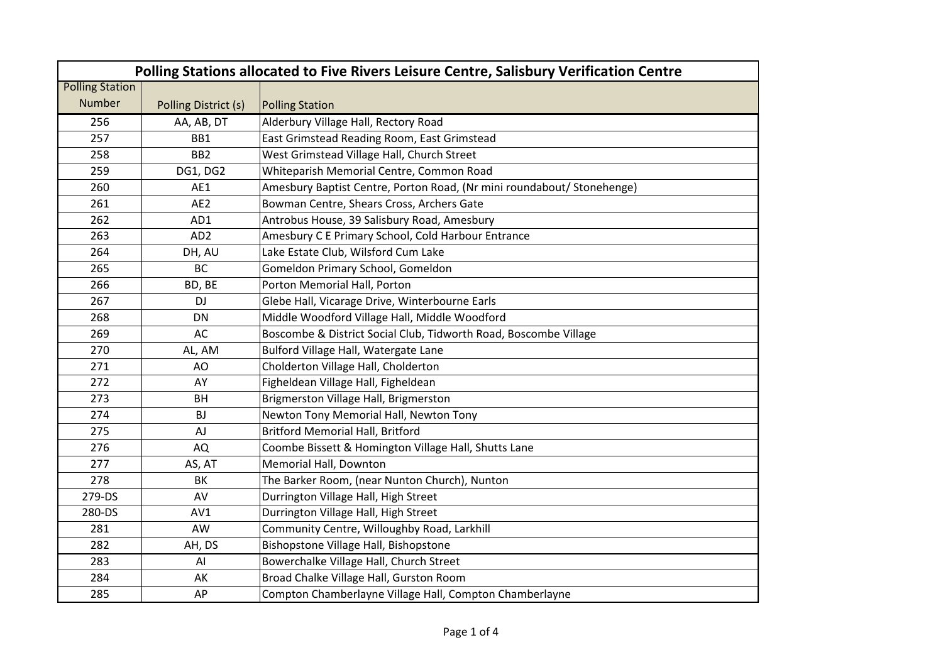| Polling Stations allocated to Five Rivers Leisure Centre, Salisbury Verification Centre |                      |                                                                        |  |  |
|-----------------------------------------------------------------------------------------|----------------------|------------------------------------------------------------------------|--|--|
| <b>Polling Station</b>                                                                  |                      |                                                                        |  |  |
| <b>Number</b>                                                                           | Polling District (s) | <b>Polling Station</b>                                                 |  |  |
| 256                                                                                     | AA, AB, DT           | Alderbury Village Hall, Rectory Road                                   |  |  |
| 257                                                                                     | BB1                  | East Grimstead Reading Room, East Grimstead                            |  |  |
| 258                                                                                     | BB <sub>2</sub>      | West Grimstead Village Hall, Church Street                             |  |  |
| 259                                                                                     | DG1, DG2             | Whiteparish Memorial Centre, Common Road                               |  |  |
| 260                                                                                     | AE1                  | Amesbury Baptist Centre, Porton Road, (Nr mini roundabout/ Stonehenge) |  |  |
| 261                                                                                     | AE2                  | Bowman Centre, Shears Cross, Archers Gate                              |  |  |
| 262                                                                                     | AD1                  | Antrobus House, 39 Salisbury Road, Amesbury                            |  |  |
| 263                                                                                     | AD <sub>2</sub>      | Amesbury C E Primary School, Cold Harbour Entrance                     |  |  |
| 264                                                                                     | DH, AU               | Lake Estate Club, Wilsford Cum Lake                                    |  |  |
| 265                                                                                     | <b>BC</b>            | Gomeldon Primary School, Gomeldon                                      |  |  |
| 266                                                                                     | BD, BE               | Porton Memorial Hall, Porton                                           |  |  |
| 267                                                                                     | <b>DJ</b>            | Glebe Hall, Vicarage Drive, Winterbourne Earls                         |  |  |
| 268                                                                                     | <b>DN</b>            | Middle Woodford Village Hall, Middle Woodford                          |  |  |
| 269                                                                                     | AC                   | Boscombe & District Social Club, Tidworth Road, Boscombe Village       |  |  |
| 270                                                                                     | AL, AM               | Bulford Village Hall, Watergate Lane                                   |  |  |
| 271                                                                                     | AO                   | Cholderton Village Hall, Cholderton                                    |  |  |
| 272                                                                                     | AY                   | Figheldean Village Hall, Figheldean                                    |  |  |
| 273                                                                                     | <b>BH</b>            | Brigmerston Village Hall, Brigmerston                                  |  |  |
| 274                                                                                     | <b>BJ</b>            | Newton Tony Memorial Hall, Newton Tony                                 |  |  |
| 275                                                                                     | AJ                   | <b>Britford Memorial Hall, Britford</b>                                |  |  |
| 276                                                                                     | AQ                   | Coombe Bissett & Homington Village Hall, Shutts Lane                   |  |  |
| 277                                                                                     | AS, AT               | Memorial Hall, Downton                                                 |  |  |
| 278                                                                                     | BK                   | The Barker Room, (near Nunton Church), Nunton                          |  |  |
| 279-DS                                                                                  | AV                   | Durrington Village Hall, High Street                                   |  |  |
| 280-DS                                                                                  | AV1                  | Durrington Village Hall, High Street                                   |  |  |
| 281                                                                                     | AW                   | Community Centre, Willoughby Road, Larkhill                            |  |  |
| 282                                                                                     | AH, DS               | Bishopstone Village Hall, Bishopstone                                  |  |  |
| 283                                                                                     | Al                   | Bowerchalke Village Hall, Church Street                                |  |  |
| 284                                                                                     | AK                   | Broad Chalke Village Hall, Gurston Room                                |  |  |
| 285                                                                                     | AP                   | Compton Chamberlayne Village Hall, Compton Chamberlayne                |  |  |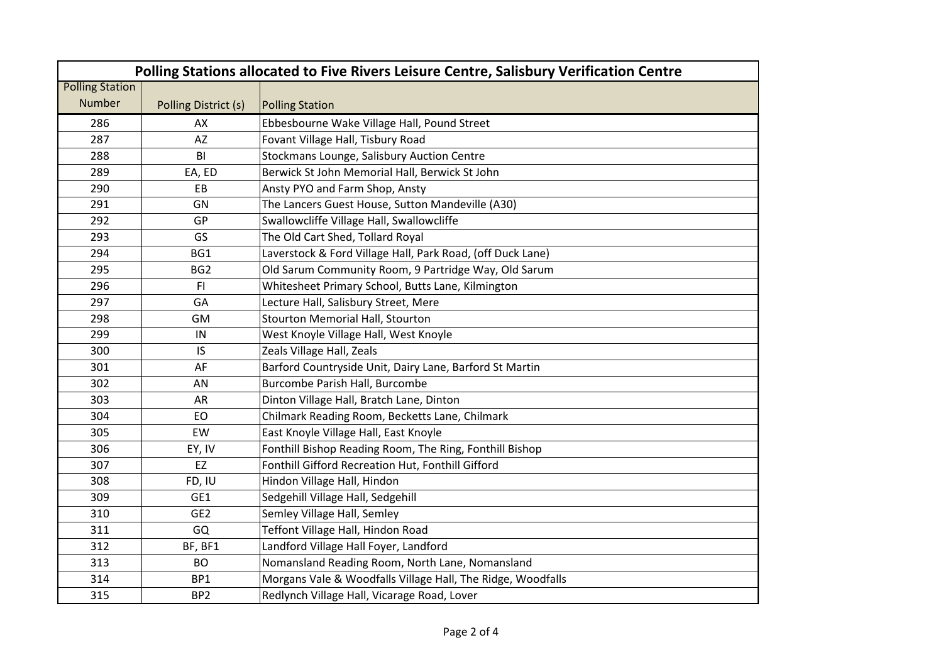| Polling Stations allocated to Five Rivers Leisure Centre, Salisbury Verification Centre |                      |                                                             |  |  |
|-----------------------------------------------------------------------------------------|----------------------|-------------------------------------------------------------|--|--|
| <b>Polling Station</b>                                                                  |                      |                                                             |  |  |
| <b>Number</b>                                                                           | Polling District (s) | <b>Polling Station</b>                                      |  |  |
| 286                                                                                     | AX                   | Ebbesbourne Wake Village Hall, Pound Street                 |  |  |
| 287                                                                                     | AZ                   | Fovant Village Hall, Tisbury Road                           |  |  |
| 288                                                                                     | BI                   | Stockmans Lounge, Salisbury Auction Centre                  |  |  |
| 289                                                                                     | EA, ED               | Berwick St John Memorial Hall, Berwick St John              |  |  |
| 290                                                                                     | EB                   | Ansty PYO and Farm Shop, Ansty                              |  |  |
| 291                                                                                     | GN                   | The Lancers Guest House, Sutton Mandeville (A30)            |  |  |
| 292                                                                                     | GP                   | Swallowcliffe Village Hall, Swallowcliffe                   |  |  |
| 293                                                                                     | GS                   | The Old Cart Shed, Tollard Royal                            |  |  |
| 294                                                                                     | BG1                  | Laverstock & Ford Village Hall, Park Road, (off Duck Lane)  |  |  |
| 295                                                                                     | BG <sub>2</sub>      | Old Sarum Community Room, 9 Partridge Way, Old Sarum        |  |  |
| 296                                                                                     | F1                   | Whitesheet Primary School, Butts Lane, Kilmington           |  |  |
| 297                                                                                     | GA                   | Lecture Hall, Salisbury Street, Mere                        |  |  |
| 298                                                                                     | GM                   | <b>Stourton Memorial Hall, Stourton</b>                     |  |  |
| 299                                                                                     | IN                   | West Knoyle Village Hall, West Knoyle                       |  |  |
| 300                                                                                     | IS                   | Zeals Village Hall, Zeals                                   |  |  |
| 301                                                                                     | AF                   | Barford Countryside Unit, Dairy Lane, Barford St Martin     |  |  |
| 302                                                                                     | AN                   | Burcombe Parish Hall, Burcombe                              |  |  |
| 303                                                                                     | AR                   | Dinton Village Hall, Bratch Lane, Dinton                    |  |  |
| 304                                                                                     | EO                   | Chilmark Reading Room, Becketts Lane, Chilmark              |  |  |
| 305                                                                                     | EW                   | East Knoyle Village Hall, East Knoyle                       |  |  |
| 306                                                                                     | EY, IV               | Fonthill Bishop Reading Room, The Ring, Fonthill Bishop     |  |  |
| 307                                                                                     | EZ                   | Fonthill Gifford Recreation Hut, Fonthill Gifford           |  |  |
| 308                                                                                     | FD, IU               | Hindon Village Hall, Hindon                                 |  |  |
| 309                                                                                     | GE1                  | Sedgehill Village Hall, Sedgehill                           |  |  |
| 310                                                                                     | GE <sub>2</sub>      | Semley Village Hall, Semley                                 |  |  |
| 311                                                                                     | GQ                   | Teffont Village Hall, Hindon Road                           |  |  |
| 312                                                                                     | BF, BF1              | Landford Village Hall Foyer, Landford                       |  |  |
| 313                                                                                     | <b>BO</b>            | Nomansland Reading Room, North Lane, Nomansland             |  |  |
| 314                                                                                     | BP1                  | Morgans Vale & Woodfalls Village Hall, The Ridge, Woodfalls |  |  |
| 315                                                                                     | BP <sub>2</sub>      | Redlynch Village Hall, Vicarage Road, Lover                 |  |  |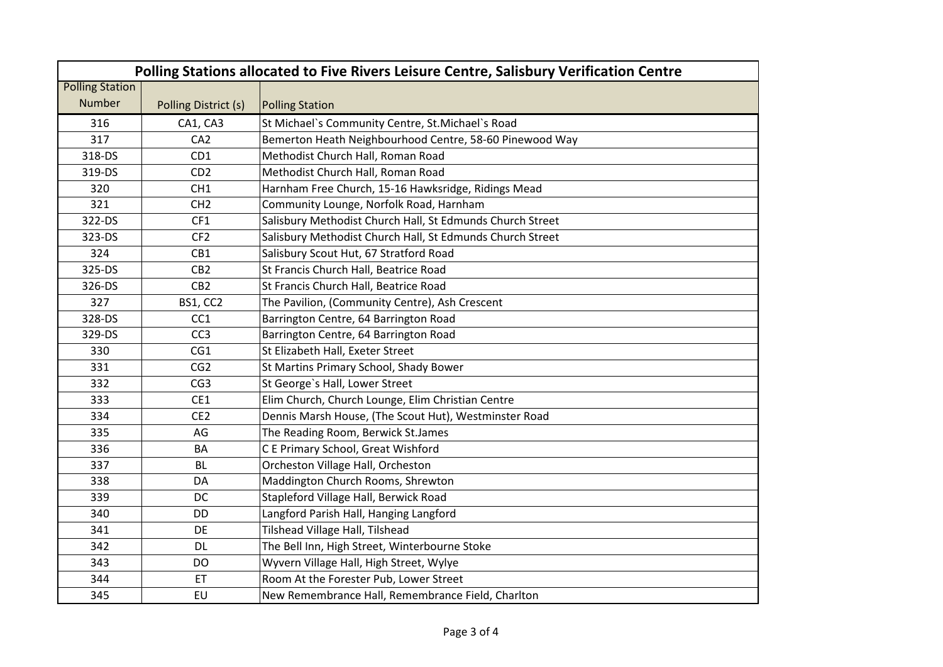| Polling Stations allocated to Five Rivers Leisure Centre, Salisbury Verification Centre |                      |                                                           |  |  |
|-----------------------------------------------------------------------------------------|----------------------|-----------------------------------------------------------|--|--|
| <b>Polling Station</b>                                                                  |                      |                                                           |  |  |
| <b>Number</b>                                                                           | Polling District (s) | <b>Polling Station</b>                                    |  |  |
| 316                                                                                     | CA1, CA3             | St Michael's Community Centre, St. Michael's Road         |  |  |
| 317                                                                                     | CA <sub>2</sub>      | Bemerton Heath Neighbourhood Centre, 58-60 Pinewood Way   |  |  |
| 318-DS                                                                                  | CD1                  | Methodist Church Hall, Roman Road                         |  |  |
| 319-DS                                                                                  | CD2                  | Methodist Church Hall, Roman Road                         |  |  |
| 320                                                                                     | CH <sub>1</sub>      | Harnham Free Church, 15-16 Hawksridge, Ridings Mead       |  |  |
| 321                                                                                     | CH <sub>2</sub>      | Community Lounge, Norfolk Road, Harnham                   |  |  |
| 322-DS                                                                                  | CF1                  | Salisbury Methodist Church Hall, St Edmunds Church Street |  |  |
| 323-DS                                                                                  | CF <sub>2</sub>      | Salisbury Methodist Church Hall, St Edmunds Church Street |  |  |
| 324                                                                                     | CB1                  | Salisbury Scout Hut, 67 Stratford Road                    |  |  |
| 325-DS                                                                                  | CB <sub>2</sub>      | St Francis Church Hall, Beatrice Road                     |  |  |
| 326-DS                                                                                  | CB <sub>2</sub>      | St Francis Church Hall, Beatrice Road                     |  |  |
| 327                                                                                     | <b>BS1, CC2</b>      | The Pavilion, (Community Centre), Ash Crescent            |  |  |
| 328-DS                                                                                  | CC <sub>1</sub>      | Barrington Centre, 64 Barrington Road                     |  |  |
| 329-DS                                                                                  | CC <sub>3</sub>      | Barrington Centre, 64 Barrington Road                     |  |  |
| 330                                                                                     | CG1                  | St Elizabeth Hall, Exeter Street                          |  |  |
| 331                                                                                     | CG <sub>2</sub>      | St Martins Primary School, Shady Bower                    |  |  |
| 332                                                                                     | CG <sub>3</sub>      | St George's Hall, Lower Street                            |  |  |
| 333                                                                                     | CE1                  | Elim Church, Church Lounge, Elim Christian Centre         |  |  |
| 334                                                                                     | CE <sub>2</sub>      | Dennis Marsh House, (The Scout Hut), Westminster Road     |  |  |
| 335                                                                                     | AG                   | The Reading Room, Berwick St.James                        |  |  |
| 336                                                                                     | BA                   | C E Primary School, Great Wishford                        |  |  |
| 337                                                                                     | <b>BL</b>            | Orcheston Village Hall, Orcheston                         |  |  |
| 338                                                                                     | DA                   | Maddington Church Rooms, Shrewton                         |  |  |
| 339                                                                                     | DC                   | Stapleford Village Hall, Berwick Road                     |  |  |
| 340                                                                                     | DD                   | Langford Parish Hall, Hanging Langford                    |  |  |
| 341                                                                                     | DE                   | Tilshead Village Hall, Tilshead                           |  |  |
| 342                                                                                     | <b>DL</b>            | The Bell Inn, High Street, Winterbourne Stoke             |  |  |
| 343                                                                                     | <b>DO</b>            | Wyvern Village Hall, High Street, Wylye                   |  |  |
| 344                                                                                     | ET                   | Room At the Forester Pub, Lower Street                    |  |  |
| 345                                                                                     | EU                   | New Remembrance Hall, Remembrance Field, Charlton         |  |  |